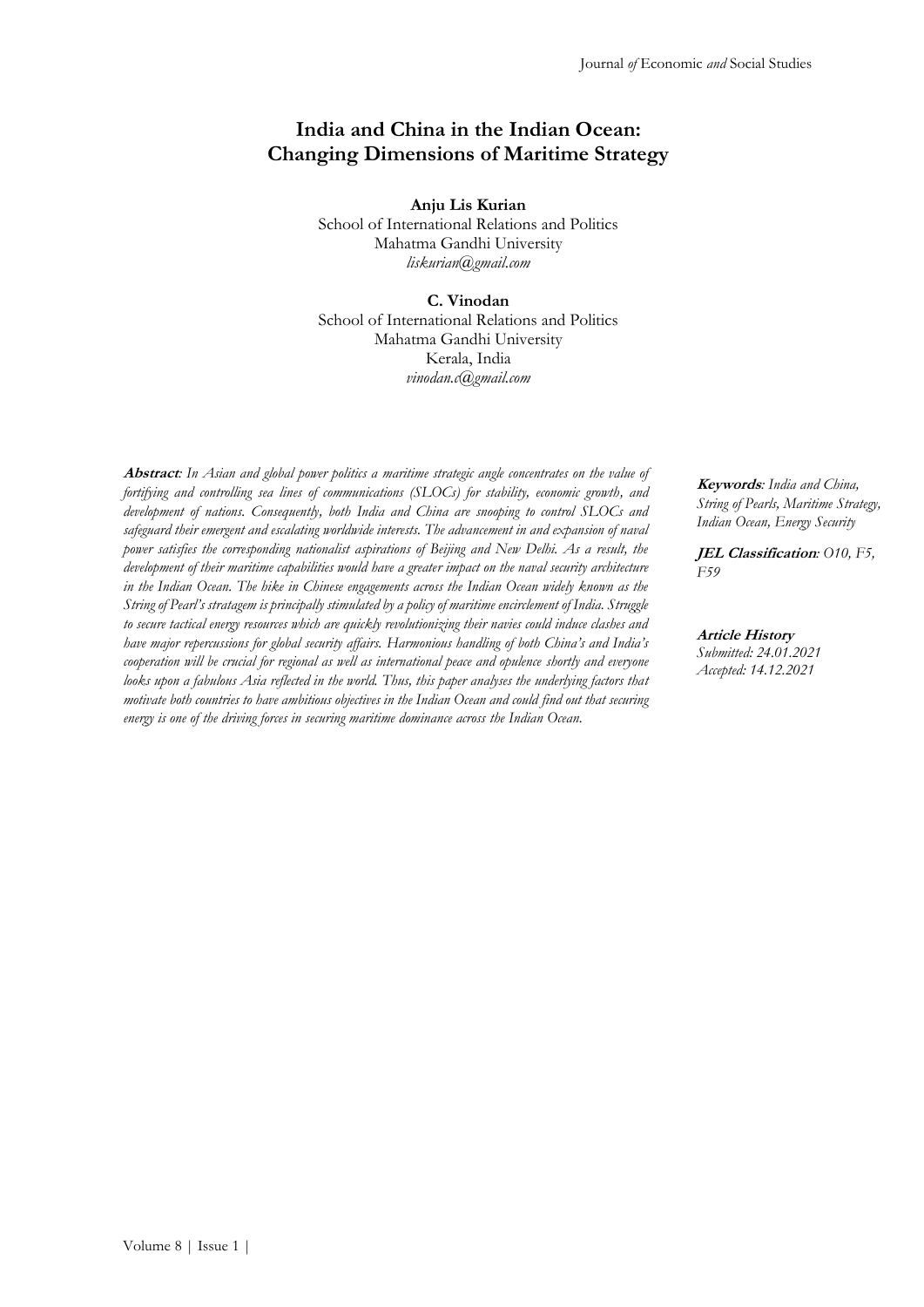# **India and China in the Indian Ocean: Changing Dimensions of Maritime Strategy**

**Anju Lis Kurian** School of International Relations and Politics Mahatma Gandhi University *[liskurian@gmail.com](mailto:liskurian@gmail.com)*

#### **C. Vinodan**

School of International Relations and Politics Mahatma Gandhi University Kerala, India *[vinodan.c@gmail.com](mailto:vinodan.c@gmail.com)*

**Abstract***: In Asian and global power politics a maritime strategic angle concentrates on the value of fortifying and controlling sea lines of communications (SLOCs) for stability, economic growth, and development of nations. Consequently, both India and China are snooping to control SLOCs and safeguard their emergent and escalating worldwide interests. The advancement in and expansion of naval power satisfies the corresponding nationalist aspirations of Beijing and New Delhi. As a result, the development of their maritime capabilities would have a greater impact on the naval security architecture in the Indian Ocean. The hike in Chinese engagements across the Indian Ocean widely known as the String of Pearl's stratagem is principally stimulated by a policy of maritime encirclement of India. Struggle to secure tactical energy resources which are quickly revolutionizing their navies could induce clashes and have major repercussions for global security affairs. Harmonious handling of both China's and India's cooperation will be crucial for regional as well as international peace and opulence shortly and everyone looks upon a fabulous Asia reflected in the world. Thus, this paper analyses the underlying factors that motivate both countries to have ambitious objectives in the Indian Ocean and could find out that securing energy is one of the driving forces in securing maritime dominance across the Indian Ocean.*

**Keywords***: India and China, String of Pearls, Maritime Strategy, Indian Ocean, Energy Security*

**JEL Classification***: O10, F5, F59*

**Article History** *Submitted: 24.01.2021 Accepted: 14.12.2021*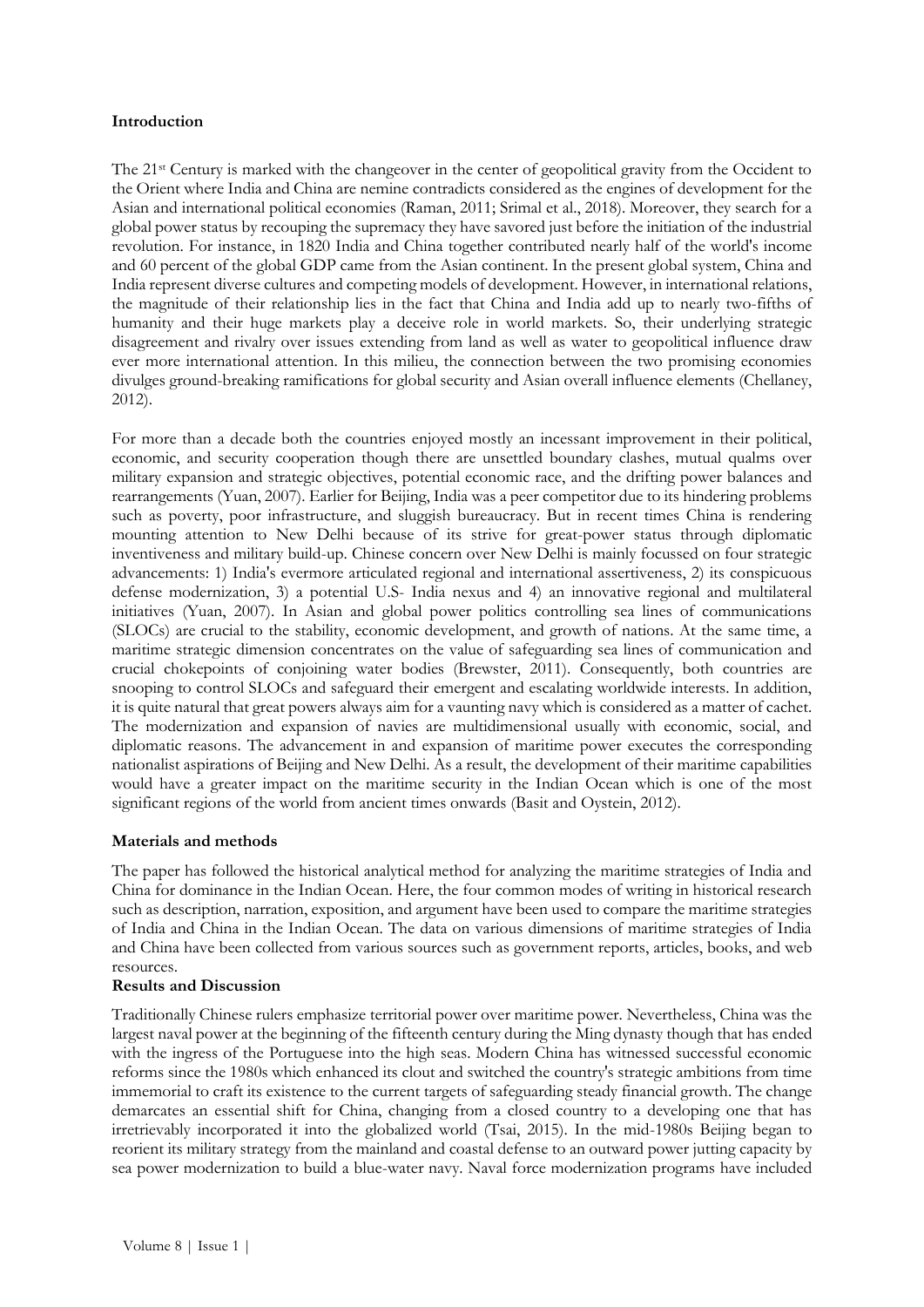### **Introduction**

The 21st Century is marked with the changeover in the center of geopolitical gravity from the Occident to the Orient where India and China are nemine contradicts considered as the engines of development for the Asian and international political economies (Raman, 2011; Srimal et al., 2018). Moreover, they search for a global power status by recouping the supremacy they have savored just before the initiation of the industrial revolution. For instance, in 1820 India and China together contributed nearly half of the world's income and 60 percent of the global GDP came from the Asian continent. In the present global system, China and India represent diverse cultures and competing models of development. However, in international relations, the magnitude of their relationship lies in the fact that China and India add up to nearly two-fifths of humanity and their huge markets play a deceive role in world markets. So, their underlying strategic disagreement and rivalry over issues extending from land as well as water to geopolitical influence draw ever more international attention. In this milieu, the connection between the two promising economies divulges ground-breaking ramifications for global security and Asian overall influence elements (Chellaney, 2012).

For more than a decade both the countries enjoyed mostly an incessant improvement in their political, economic, and security cooperation though there are unsettled boundary clashes, mutual qualms over military expansion and strategic objectives, potential economic race, and the drifting power balances and rearrangements (Yuan, 2007). Earlier for Beijing, India was a peer competitor due to its hindering problems such as poverty, poor infrastructure, and sluggish bureaucracy. But in recent times China is rendering mounting attention to New Delhi because of its strive for great-power status through diplomatic inventiveness and military build-up. Chinese concern over New Delhi is mainly focussed on four strategic advancements: 1) India's evermore articulated regional and international assertiveness, 2) its conspicuous defense modernization, 3) a potential U.S- India nexus and 4) an innovative regional and multilateral initiatives (Yuan, 2007). In Asian and global power politics controlling sea lines of communications (SLOCs) are crucial to the stability, economic development, and growth of nations. At the same time, a maritime strategic dimension concentrates on the value of safeguarding sea lines of communication and crucial chokepoints of conjoining water bodies (Brewster, 2011). Consequently, both countries are snooping to control SLOCs and safeguard their emergent and escalating worldwide interests. In addition, it is quite natural that great powers always aim for a vaunting navy which is considered as a matter of cachet. The modernization and expansion of navies are multidimensional usually with economic, social, and diplomatic reasons. The advancement in and expansion of maritime power executes the corresponding nationalist aspirations of Beijing and New Delhi. As a result, the development of their maritime capabilities would have a greater impact on the maritime security in the Indian Ocean which is one of the most significant regions of the world from ancient times onwards (Basit and Oystein, 2012).

### **Materials and methods**

The paper has followed the historical analytical method for analyzing the maritime strategies of India and China for dominance in the Indian Ocean. Here, the four common modes of writing in historical research such as description, narration, exposition, and argument have been used to compare the maritime strategies of India and China in the Indian Ocean. The data on various dimensions of maritime strategies of India and China have been collected from various sources such as government reports, articles, books, and web resources.

### **Results and Discussion**

Traditionally Chinese rulers emphasize territorial power over maritime power. Nevertheless, China was the largest naval power at the beginning of the fifteenth century during the Ming dynasty though that has ended with the ingress of the Portuguese into the high seas. Modern China has witnessed successful economic reforms since the 1980s which enhanced its clout and switched the country's strategic ambitions from time immemorial to craft its existence to the current targets of safeguarding steady financial growth. The change demarcates an essential shift for China, changing from a closed country to a developing one that has irretrievably incorporated it into the globalized world (Tsai, 2015). In the mid-1980s Beijing began to reorient its military strategy from the mainland and coastal defense to an outward power jutting capacity by sea power modernization to build a blue-water navy. Naval force modernization programs have included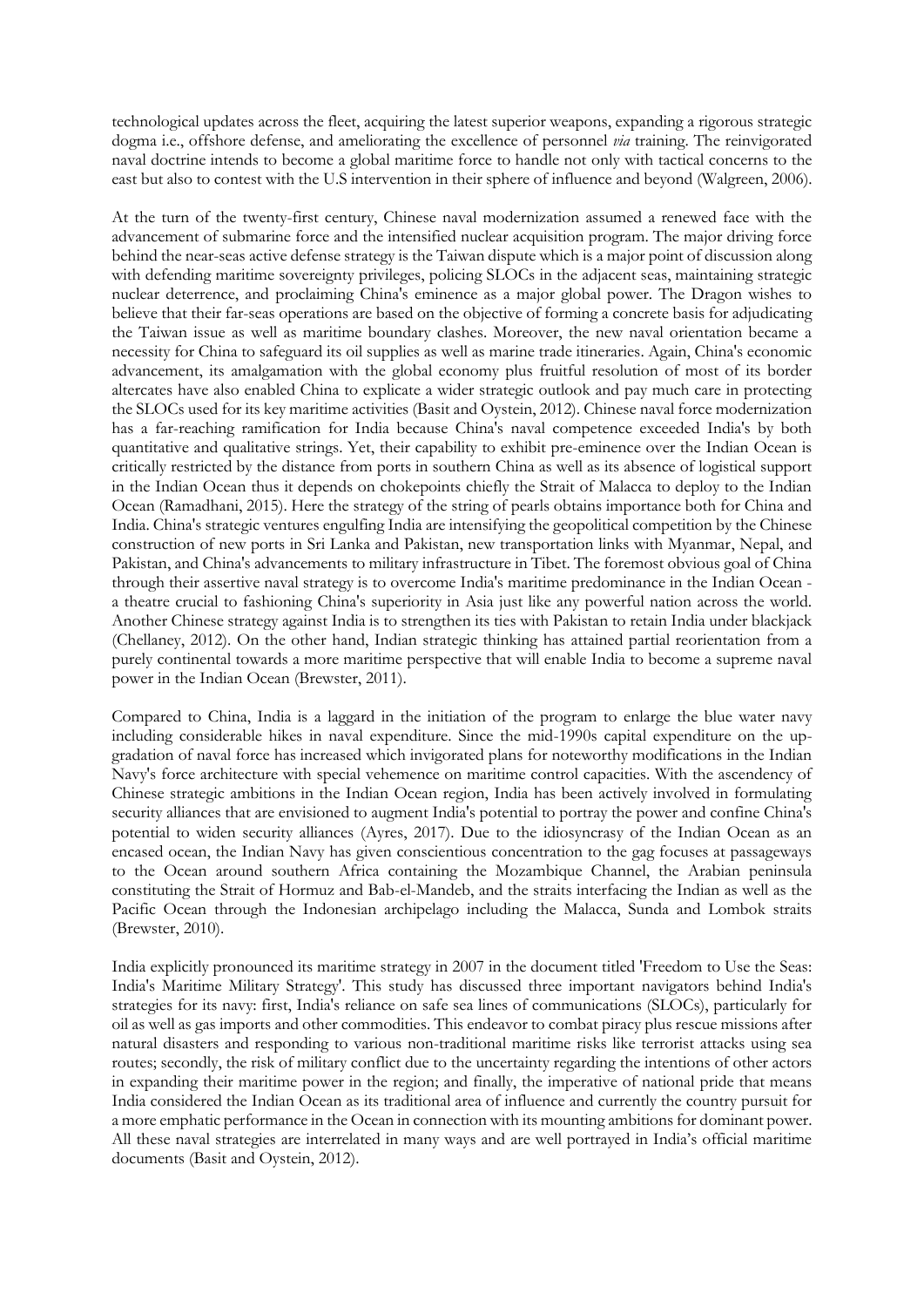technological updates across the fleet, acquiring the latest superior weapons, expanding a rigorous strategic dogma i.e., offshore defense, and ameliorating the excellence of personnel *via* training. The reinvigorated naval doctrine intends to become a global maritime force to handle not only with tactical concerns to the east but also to contest with the U.S intervention in their sphere of influence and beyond (Walgreen, 2006).

At the turn of the twenty-first century, Chinese naval modernization assumed a renewed face with the advancement of submarine force and the intensified nuclear acquisition program. The major driving force behind the near-seas active defense strategy is the Taiwan dispute which is a major point of discussion along with defending maritime sovereignty privileges, policing SLOCs in the adjacent seas, maintaining strategic nuclear deterrence, and proclaiming China's eminence as a major global power. The Dragon wishes to believe that their far-seas operations are based on the objective of forming a concrete basis for adjudicating the Taiwan issue as well as maritime boundary clashes. Moreover, the new naval orientation became a necessity for China to safeguard its oil supplies as well as marine trade itineraries. Again, China's economic advancement, its amalgamation with the global economy plus fruitful resolution of most of its border altercates have also enabled China to explicate a wider strategic outlook and pay much care in protecting the SLOCs used for its key maritime activities (Basit and Oystein, 2012). Chinese naval force modernization has a far-reaching ramification for India because China's naval competence exceeded India's by both quantitative and qualitative strings. Yet, their capability to exhibit pre-eminence over the Indian Ocean is critically restricted by the distance from ports in southern China as well as its absence of logistical support in the Indian Ocean thus it depends on chokepoints chiefly the Strait of Malacca to deploy to the Indian Ocean (Ramadhani, 2015). Here the strategy of the string of pearls obtains importance both for China and India. China's strategic ventures engulfing India are intensifying the geopolitical competition by the Chinese construction of new ports in Sri Lanka and Pakistan, new transportation links with Myanmar, Nepal, and Pakistan, and China's advancements to military infrastructure in Tibet. The foremost obvious goal of China through their assertive naval strategy is to overcome India's maritime predominance in the Indian Ocean a theatre crucial to fashioning China's superiority in Asia just like any powerful nation across the world. Another Chinese strategy against India is to strengthen its ties with Pakistan to retain India under blackjack (Chellaney, 2012). On the other hand, Indian strategic thinking has attained partial reorientation from a purely continental towards a more maritime perspective that will enable India to become a supreme naval power in the Indian Ocean (Brewster, 2011).

Compared to China, India is a laggard in the initiation of the program to enlarge the blue water navy including considerable hikes in naval expenditure. Since the mid-1990s capital expenditure on the upgradation of naval force has increased which invigorated plans for noteworthy modifications in the Indian Navy's force architecture with special vehemence on maritime control capacities. With the ascendency of Chinese strategic ambitions in the Indian Ocean region, India has been actively involved in formulating security alliances that are envisioned to augment India's potential to portray the power and confine China's potential to widen security alliances (Ayres, 2017). Due to the idiosyncrasy of the Indian Ocean as an encased ocean, the Indian Navy has given conscientious concentration to the gag focuses at passageways to the Ocean around southern Africa containing the Mozambique Channel, the Arabian peninsula constituting the Strait of Hormuz and Bab-el-Mandeb, and the straits interfacing the Indian as well as the Pacific Ocean through the Indonesian archipelago including the Malacca, Sunda and Lombok straits (Brewster, 2010).

India explicitly pronounced its maritime strategy in 2007 in the document titled 'Freedom to Use the Seas: India's Maritime Military Strategy'. This study has discussed three important navigators behind India's strategies for its navy: first, India's reliance on safe sea lines of communications (SLOCs), particularly for oil as well as gas imports and other commodities. This endeavor to combat piracy plus rescue missions after natural disasters and responding to various non-traditional maritime risks like terrorist attacks using sea routes; secondly, the risk of military conflict due to the uncertainty regarding the intentions of other actors in expanding their maritime power in the region; and finally, the imperative of national pride that means India considered the Indian Ocean as its traditional area of influence and currently the country pursuit for a more emphatic performance in the Ocean in connection with its mounting ambitions for dominant power. All these naval strategies are interrelated in many ways and are well portrayed in India's official maritime documents (Basit and Oystein, 2012).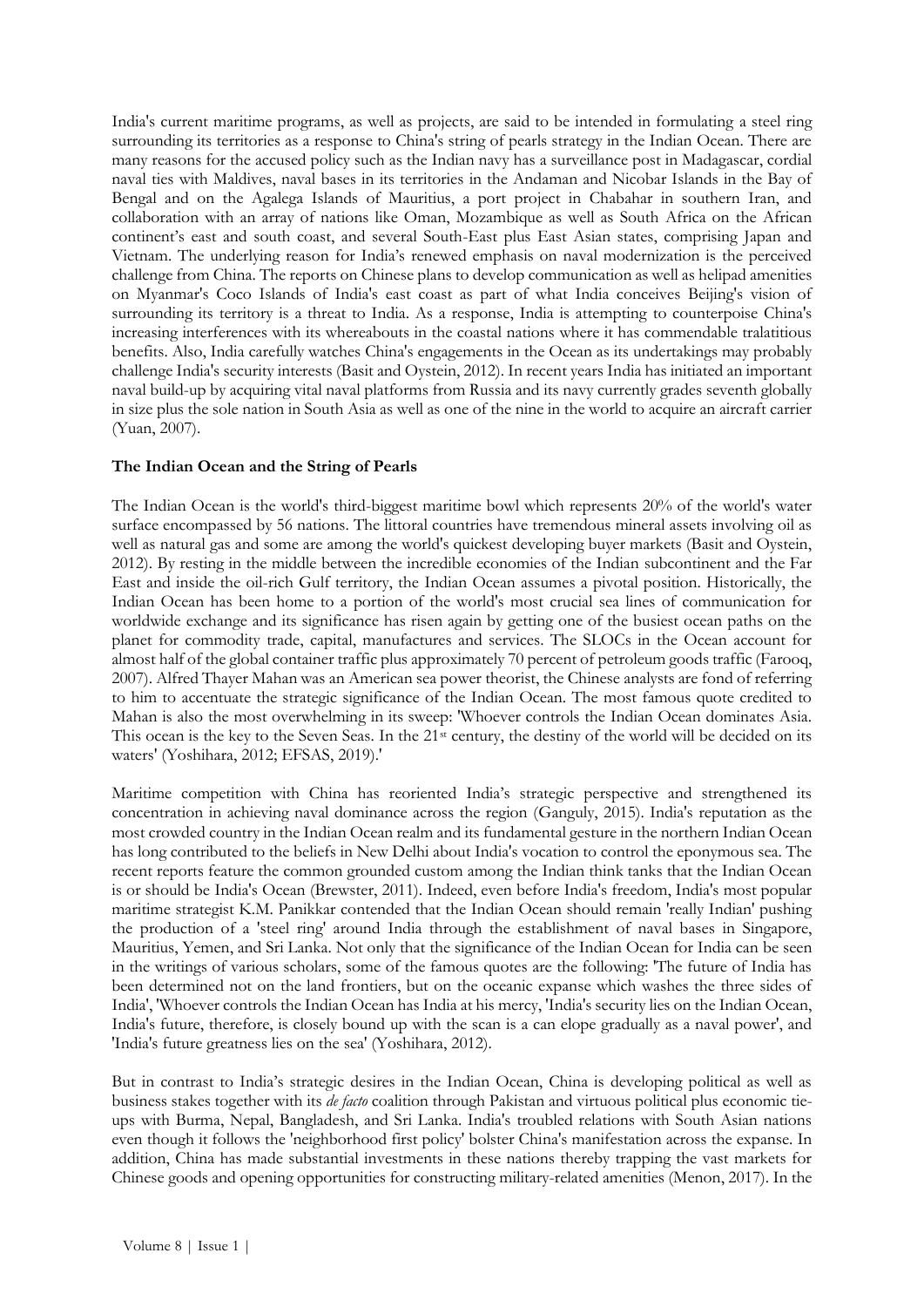India's current maritime programs, as well as projects, are said to be intended in formulating a steel ring surrounding its territories as a response to China's string of pearls strategy in the Indian Ocean. There are many reasons for the accused policy such as the Indian navy has a surveillance post in Madagascar, cordial naval ties with Maldives, naval bases in its territories in the Andaman and Nicobar Islands in the Bay of Bengal and on the Agalega Islands of Mauritius, a port project in Chabahar in southern Iran, and collaboration with an array of nations like Oman, Mozambique as well as South Africa on the African continent's east and south coast, and several South-East plus East Asian states, comprising Japan and Vietnam. The underlying reason for India's renewed emphasis on naval modernization is the perceived challenge from China. The reports on Chinese plans to develop communication as well as helipad amenities on Myanmar's Coco Islands of India's east coast as part of what India conceives Beijing's vision of surrounding its territory is a threat to India. As a response, India is attempting to counterpoise China's increasing interferences with its whereabouts in the coastal nations where it has commendable tralatitious benefits. Also, India carefully watches China's engagements in the Ocean as its undertakings may probably challenge India's security interests (Basit and Oystein, 2012). In recent years India has initiated an important naval build-up by acquiring vital naval platforms from Russia and its navy currently grades seventh globally in size plus the sole nation in South Asia as well as one of the nine in the world to acquire an aircraft carrier (Yuan, 2007).

## **The Indian Ocean and the String of Pearls**

The Indian Ocean is the world's third-biggest maritime bowl which represents 20% of the world's water surface encompassed by 56 nations. The littoral countries have tremendous mineral assets involving oil as well as natural gas and some are among the world's quickest developing buyer markets (Basit and Oystein, 2012). By resting in the middle between the incredible economies of the Indian subcontinent and the Far East and inside the oil-rich Gulf territory, the Indian Ocean assumes a pivotal position. Historically, the Indian Ocean has been home to a portion of the world's most crucial sea lines of communication for worldwide exchange and its significance has risen again by getting one of the busiest ocean paths on the planet for commodity trade, capital, manufactures and services. The SLOCs in the Ocean account for almost half of the global container traffic plus approximately 70 percent of petroleum goods traffic (Farooq, 2007). Alfred Thayer Mahan was an American sea power theorist, the Chinese analysts are fond of referring to him to accentuate the strategic significance of the Indian Ocean. The most famous quote credited to Mahan is also the most overwhelming in its sweep: 'Whoever controls the Indian Ocean dominates Asia. This ocean is the key to the Seven Seas. In the 21st century, the destiny of the world will be decided on its waters' (Yoshihara, 2012; EFSAS, 2019).'

Maritime competition with China has reoriented India's strategic perspective and strengthened its concentration in achieving naval dominance across the region (Ganguly, 2015). India's reputation as the most crowded country in the Indian Ocean realm and its fundamental gesture in the northern Indian Ocean has long contributed to the beliefs in New Delhi about India's vocation to control the eponymous sea. The recent reports feature the common grounded custom among the Indian think tanks that the Indian Ocean is or should be India's Ocean (Brewster, 2011). Indeed, even before India's freedom, India's most popular maritime strategist K.M. Panikkar contended that the Indian Ocean should remain 'really Indian' pushing the production of a 'steel ring' around India through the establishment of naval bases in Singapore, Mauritius, Yemen, and Sri Lanka. Not only that the significance of the Indian Ocean for India can be seen in the writings of various scholars, some of the famous quotes are the following: 'The future of India has been determined not on the land frontiers, but on the oceanic expanse which washes the three sides of India', 'Whoever controls the Indian Ocean has India at his mercy, 'India's security lies on the Indian Ocean, India's future, therefore, is closely bound up with the scan is a can elope gradually as a naval power', and 'India's future greatness lies on the sea' (Yoshihara, 2012).

But in contrast to India's strategic desires in the Indian Ocean, China is developing political as well as business stakes together with its *de facto* coalition through Pakistan and virtuous political plus economic tieups with Burma, Nepal, Bangladesh, and Sri Lanka. India's troubled relations with South Asian nations even though it follows the 'neighborhood first policy' bolster China's manifestation across the expanse. In addition, China has made substantial investments in these nations thereby trapping the vast markets for Chinese goods and opening opportunities for constructing military-related amenities (Menon, 2017). In the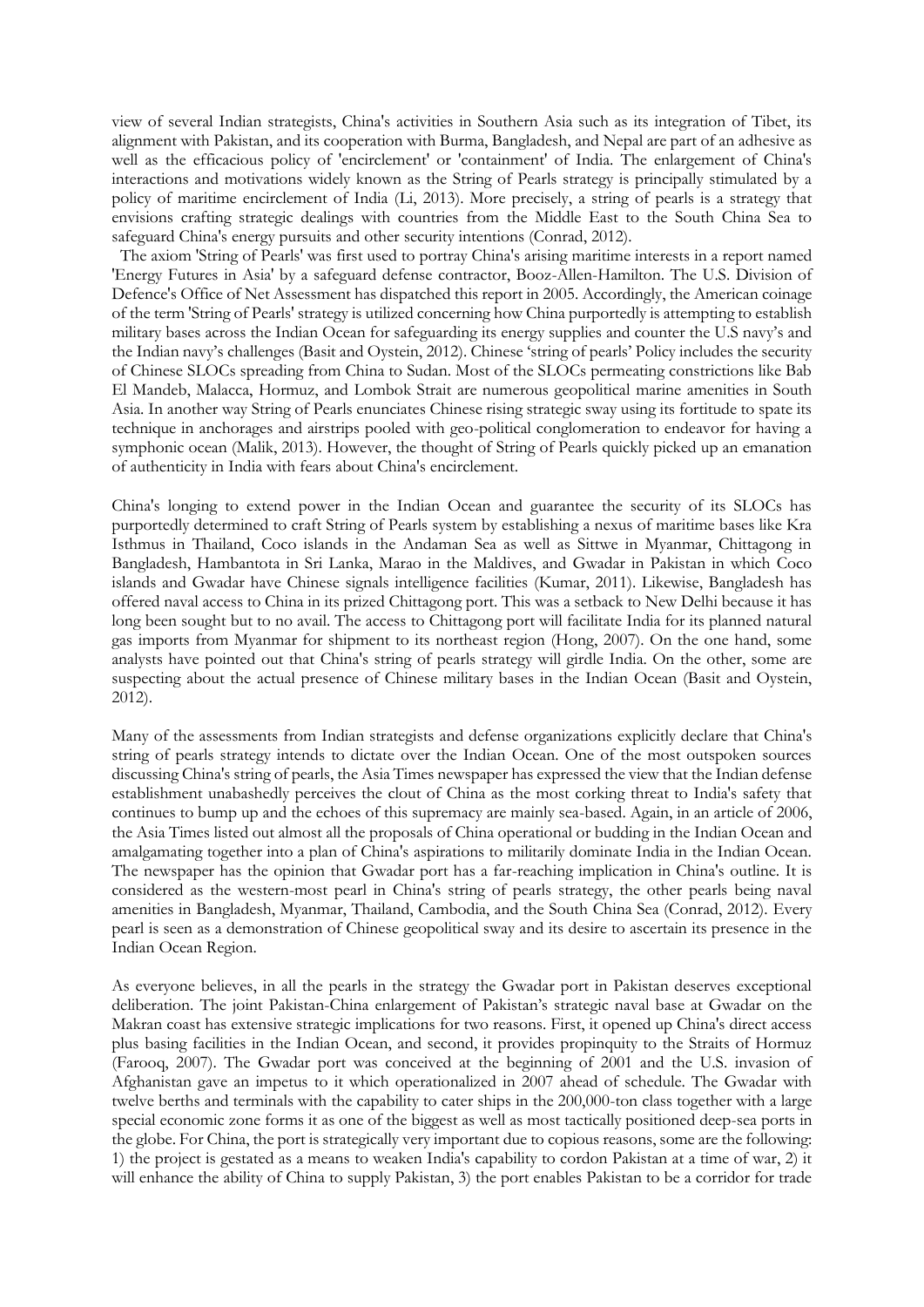view of several Indian strategists, China's activities in Southern Asia such as its integration of Tibet, its alignment with Pakistan, and its cooperation with Burma, Bangladesh, and Nepal are part of an adhesive as well as the efficacious policy of 'encirclement' or 'containment' of India. The enlargement of China's interactions and motivations widely known as the String of Pearls strategy is principally stimulated by a policy of maritime encirclement of India (Li, 2013). More precisely, a string of pearls is a strategy that envisions crafting strategic dealings with countries from the Middle East to the South China Sea to safeguard China's energy pursuits and other security intentions (Conrad, 2012).

 The axiom 'String of Pearls' was first used to portray China's arising maritime interests in a report named 'Energy Futures in Asia' by a safeguard defense contractor, Booz-Allen-Hamilton. The U.S. Division of Defence's Office of Net Assessment has dispatched this report in 2005. Accordingly, the American coinage of the term 'String of Pearls' strategy is utilized concerning how China purportedly is attempting to establish military bases across the Indian Ocean for safeguarding its energy supplies and counter the U.S navy's and the Indian navy's challenges (Basit and Oystein, 2012). Chinese 'string of pearls' Policy includes the security of Chinese SLOCs spreading from China to Sudan. Most of the SLOCs permeating constrictions like Bab El Mandeb, Malacca, Hormuz, and Lombok Strait are numerous geopolitical marine amenities in South Asia. In another way String of Pearls enunciates Chinese rising strategic sway using its fortitude to spate its technique in anchorages and airstrips pooled with geo-political conglomeration to endeavor for having a symphonic ocean (Malik, 2013). However, the thought of String of Pearls quickly picked up an emanation of authenticity in India with fears about China's encirclement.

China's longing to extend power in the Indian Ocean and guarantee the security of its SLOCs has purportedly determined to craft String of Pearls system by establishing a nexus of maritime bases like Kra Isthmus in Thailand, Coco islands in the Andaman Sea as well as Sittwe in Myanmar, Chittagong in Bangladesh, Hambantota in Sri Lanka, Marao in the Maldives, and Gwadar in Pakistan in which Coco islands and Gwadar have Chinese signals intelligence facilities (Kumar, 2011). Likewise, Bangladesh has offered naval access to China in its prized Chittagong port. This was a setback to New Delhi because it has long been sought but to no avail. The access to Chittagong port will facilitate India for its planned natural gas imports from Myanmar for shipment to its northeast region (Hong, 2007). On the one hand, some analysts have pointed out that China's string of pearls strategy will girdle India. On the other, some are suspecting about the actual presence of Chinese military bases in the Indian Ocean (Basit and Oystein, 2012).

Many of the assessments from Indian strategists and defense organizations explicitly declare that China's string of pearls strategy intends to dictate over the Indian Ocean. One of the most outspoken sources discussing China's string of pearls, the Asia Times newspaper has expressed the view that the Indian defense establishment unabashedly perceives the clout of China as the most corking threat to India's safety that continues to bump up and the echoes of this supremacy are mainly sea-based. Again, in an article of 2006, the Asia Times listed out almost all the proposals of China operational or budding in the Indian Ocean and amalgamating together into a plan of China's aspirations to militarily dominate India in the Indian Ocean. The newspaper has the opinion that Gwadar port has a far-reaching implication in China's outline. It is considered as the western-most pearl in China's string of pearls strategy, the other pearls being naval amenities in Bangladesh, Myanmar, Thailand, Cambodia, and the South China Sea (Conrad, 2012). Every pearl is seen as a demonstration of Chinese geopolitical sway and its desire to ascertain its presence in the Indian Ocean Region.

As everyone believes, in all the pearls in the strategy the Gwadar port in Pakistan deserves exceptional deliberation. The joint Pakistan-China enlargement of Pakistan's strategic naval base at Gwadar on the Makran coast has extensive strategic implications for two reasons. First, it opened up China's direct access plus basing facilities in the Indian Ocean, and second, it provides propinquity to the Straits of Hormuz (Farooq, 2007). The Gwadar port was conceived at the beginning of 2001 and the U.S. invasion of Afghanistan gave an impetus to it which operationalized in 2007 ahead of schedule. The Gwadar with twelve berths and terminals with the capability to cater ships in the 200,000-ton class together with a large special economic zone forms it as one of the biggest as well as most tactically positioned deep-sea ports in the globe. For China, the port is strategically very important due to copious reasons, some are the following: 1) the project is gestated as a means to weaken India's capability to cordon Pakistan at a time of war, 2) it will enhance the ability of China to supply Pakistan, 3) the port enables Pakistan to be a corridor for trade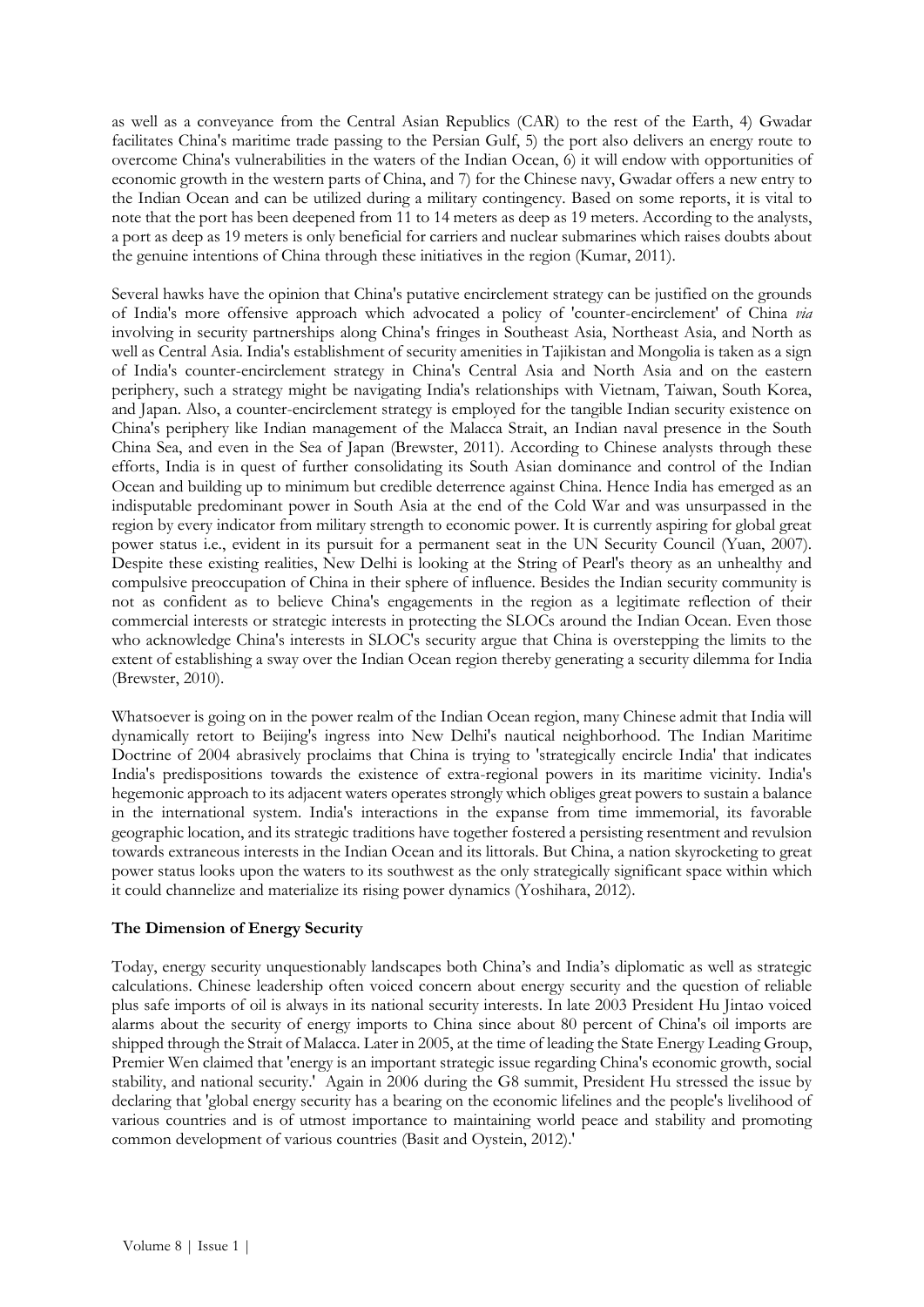as well as a conveyance from the Central Asian Republics (CAR) to the rest of the Earth, 4) Gwadar facilitates China's maritime trade passing to the Persian Gulf, 5) the port also delivers an energy route to overcome China's vulnerabilities in the waters of the Indian Ocean, 6) it will endow with opportunities of economic growth in the western parts of China, and 7) for the Chinese navy, Gwadar offers a new entry to the Indian Ocean and can be utilized during a military contingency. Based on some reports, it is vital to note that the port has been deepened from 11 to 14 meters as deep as 19 meters. According to the analysts, a port as deep as 19 meters is only beneficial for carriers and nuclear submarines which raises doubts about the genuine intentions of China through these initiatives in the region (Kumar, 2011).

Several hawks have the opinion that China's putative encirclement strategy can be justified on the grounds of India's more offensive approach which advocated a policy of 'counter-encirclement' of China *via* involving in security partnerships along China's fringes in Southeast Asia, Northeast Asia, and North as well as Central Asia. India's establishment of security amenities in Tajikistan and Mongolia is taken as a sign of India's counter-encirclement strategy in China's Central Asia and North Asia and on the eastern periphery, such a strategy might be navigating India's relationships with Vietnam, Taiwan, South Korea, and Japan. Also, a counter-encirclement strategy is employed for the tangible Indian security existence on China's periphery like Indian management of the Malacca Strait, an Indian naval presence in the South China Sea, and even in the Sea of Japan (Brewster, 2011). According to Chinese analysts through these efforts, India is in quest of further consolidating its South Asian dominance and control of the Indian Ocean and building up to minimum but credible deterrence against China. Hence India has emerged as an indisputable predominant power in South Asia at the end of the Cold War and was unsurpassed in the region by every indicator from military strength to economic power. It is currently aspiring for global great power status i.e., evident in its pursuit for a permanent seat in the UN Security Council (Yuan, 2007). Despite these existing realities, New Delhi is looking at the String of Pearl's theory as an unhealthy and compulsive preoccupation of China in their sphere of influence. Besides the Indian security community is not as confident as to believe China's engagements in the region as a legitimate reflection of their commercial interests or strategic interests in protecting the SLOCs around the Indian Ocean. Even those who acknowledge China's interests in SLOC's security argue that China is overstepping the limits to the extent of establishing a sway over the Indian Ocean region thereby generating a security dilemma for India (Brewster, 2010).

Whatsoever is going on in the power realm of the Indian Ocean region, many Chinese admit that India will dynamically retort to Beijing's ingress into New Delhi's nautical neighborhood. The Indian Maritime Doctrine of 2004 abrasively proclaims that China is trying to 'strategically encircle India' that indicates India's predispositions towards the existence of extra-regional powers in its maritime vicinity. India's hegemonic approach to its adjacent waters operates strongly which obliges great powers to sustain a balance in the international system. India's interactions in the expanse from time immemorial, its favorable geographic location, and its strategic traditions have together fostered a persisting resentment and revulsion towards extraneous interests in the Indian Ocean and its littorals. But China, a nation skyrocketing to great power status looks upon the waters to its southwest as the only strategically significant space within which it could channelize and materialize its rising power dynamics (Yoshihara, 2012).

### **The Dimension of Energy Security**

Today, energy security unquestionably landscapes both China's and India's diplomatic as well as strategic calculations. Chinese leadership often voiced concern about energy security and the question of reliable plus safe imports of oil is always in its national security interests. In late 2003 President Hu Jintao voiced alarms about the security of energy imports to China since about 80 percent of China's oil imports are shipped through the Strait of Malacca. Later in 2005, at the time of leading the State Energy Leading Group, Premier Wen claimed that 'energy is an important strategic issue regarding China's economic growth, social stability, and national security.' Again in 2006 during the G8 summit, President Hu stressed the issue by declaring that 'global energy security has a bearing on the economic lifelines and the people's livelihood of various countries and is of utmost importance to maintaining world peace and stability and promoting common development of various countries (Basit and Oystein, 2012).'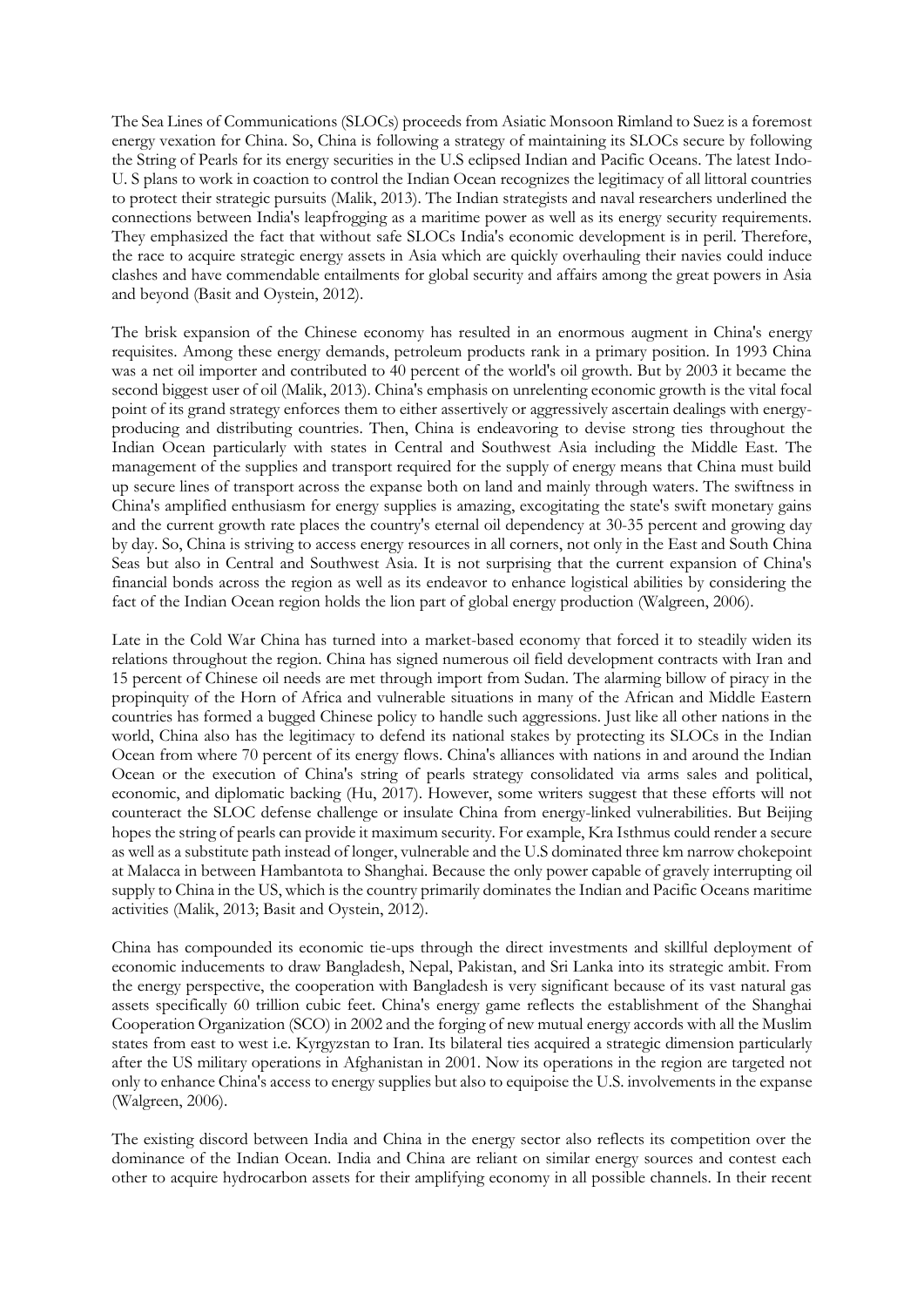The Sea Lines of Communications (SLOCs) proceeds from Asiatic Monsoon Rimland to Suez is a foremost energy vexation for China. So, China is following a strategy of maintaining its SLOCs secure by following the String of Pearls for its energy securities in the U.S eclipsed Indian and Pacific Oceans. The latest Indo-U. S plans to work in coaction to control the Indian Ocean recognizes the legitimacy of all littoral countries to protect their strategic pursuits (Malik, 2013). The Indian strategists and naval researchers underlined the connections between India's leapfrogging as a maritime power as well as its energy security requirements. They emphasized the fact that without safe SLOCs India's economic development is in peril. Therefore, the race to acquire strategic energy assets in Asia which are quickly overhauling their navies could induce clashes and have commendable entailments for global security and affairs among the great powers in Asia and beyond (Basit and Oystein, 2012).

The brisk expansion of the Chinese economy has resulted in an enormous augment in China's energy requisites. Among these energy demands, petroleum products rank in a primary position. In 1993 China was a net oil importer and contributed to 40 percent of the world's oil growth. But by 2003 it became the second biggest user of oil (Malik, 2013). China's emphasis on unrelenting economic growth is the vital focal point of its grand strategy enforces them to either assertively or aggressively ascertain dealings with energyproducing and distributing countries. Then, China is endeavoring to devise strong ties throughout the Indian Ocean particularly with states in Central and Southwest Asia including the Middle East. The management of the supplies and transport required for the supply of energy means that China must build up secure lines of transport across the expanse both on land and mainly through waters. The swiftness in China's amplified enthusiasm for energy supplies is amazing, excogitating the state's swift monetary gains and the current growth rate places the country's eternal oil dependency at 30-35 percent and growing day by day. So, China is striving to access energy resources in all corners, not only in the East and South China Seas but also in Central and Southwest Asia. It is not surprising that the current expansion of China's financial bonds across the region as well as its endeavor to enhance logistical abilities by considering the fact of the Indian Ocean region holds the lion part of global energy production (Walgreen, 2006).

Late in the Cold War China has turned into a market-based economy that forced it to steadily widen its relations throughout the region. China has signed numerous oil field development contracts with Iran and 15 percent of Chinese oil needs are met through import from Sudan. The alarming billow of piracy in the propinquity of the Horn of Africa and vulnerable situations in many of the African and Middle Eastern countries has formed a bugged Chinese policy to handle such aggressions. Just like all other nations in the world, China also has the legitimacy to defend its national stakes by protecting its SLOCs in the Indian Ocean from where 70 percent of its energy flows. China's alliances with nations in and around the Indian Ocean or the execution of China's string of pearls strategy consolidated via arms sales and political, economic, and diplomatic backing (Hu, 2017). However, some writers suggest that these efforts will not counteract the SLOC defense challenge or insulate China from energy-linked vulnerabilities. But Beijing hopes the string of pearls can provide it maximum security. For example, Kra Isthmus could render a secure as well as a substitute path instead of longer, vulnerable and the U.S dominated three km narrow chokepoint at Malacca in between Hambantota to Shanghai. Because the only power capable of gravely interrupting oil supply to China in the US, which is the country primarily dominates the Indian and Pacific Oceans maritime activities (Malik, 2013; Basit and Oystein, 2012).

China has compounded its economic tie-ups through the direct investments and skillful deployment of economic inducements to draw Bangladesh, Nepal, Pakistan, and Sri Lanka into its strategic ambit. From the energy perspective, the cooperation with Bangladesh is very significant because of its vast natural gas assets specifically 60 trillion cubic feet. China's energy game reflects the establishment of the Shanghai Cooperation Organization (SCO) in 2002 and the forging of new mutual energy accords with all the Muslim states from east to west i.e. Kyrgyzstan to Iran. Its bilateral ties acquired a strategic dimension particularly after the US military operations in Afghanistan in 2001. Now its operations in the region are targeted not only to enhance China's access to energy supplies but also to equipoise the U.S. involvements in the expanse (Walgreen, 2006).

The existing discord between India and China in the energy sector also reflects its competition over the dominance of the Indian Ocean. India and China are reliant on similar energy sources and contest each other to acquire hydrocarbon assets for their amplifying economy in all possible channels. In their recent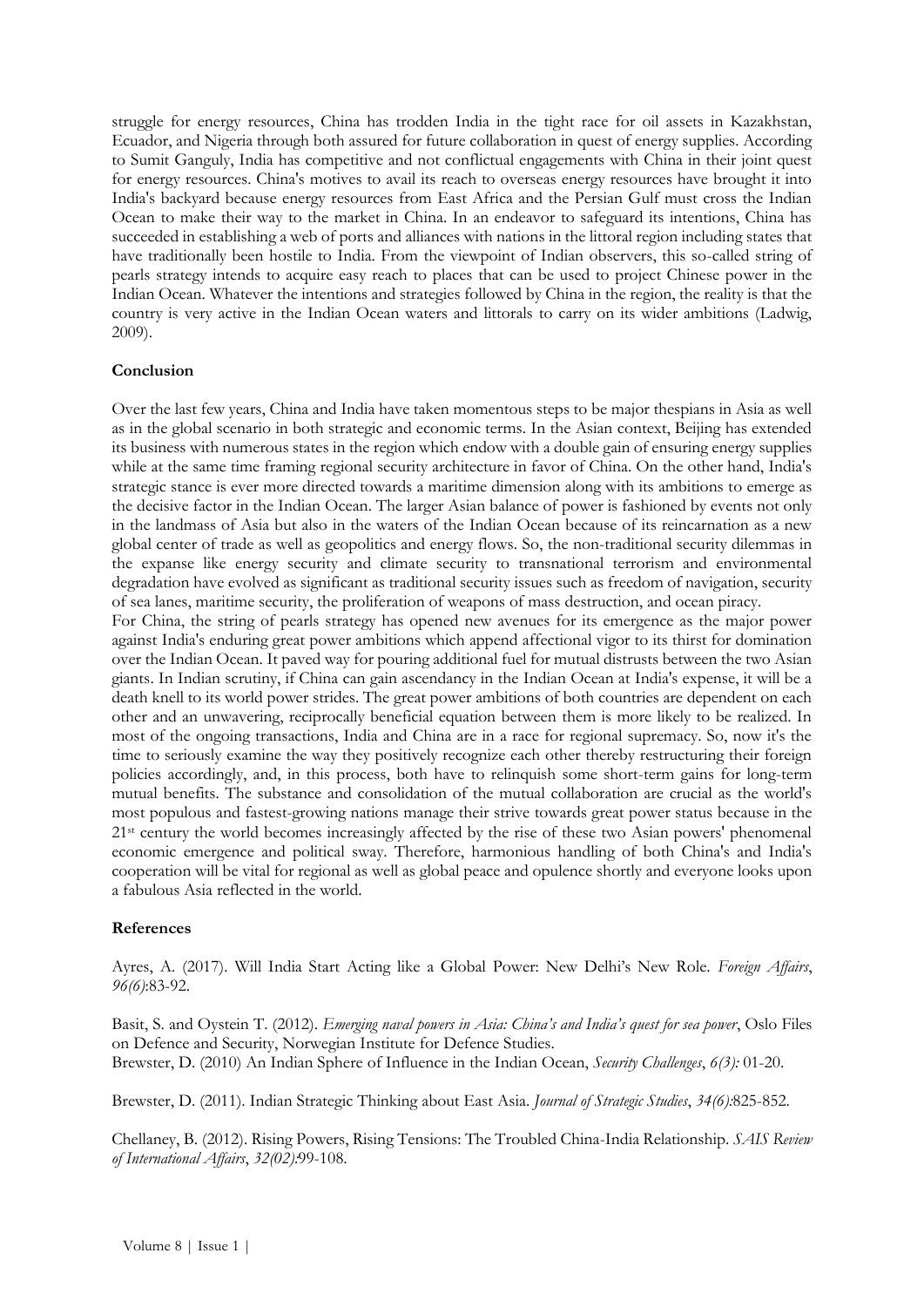struggle for energy resources, China has trodden India in the tight race for oil assets in Kazakhstan, Ecuador, and Nigeria through both assured for future collaboration in quest of energy supplies. According to Sumit Ganguly, India has competitive and not conflictual engagements with China in their joint quest for energy resources. China's motives to avail its reach to overseas energy resources have brought it into India's backyard because energy resources from East Africa and the Persian Gulf must cross the Indian Ocean to make their way to the market in China. In an endeavor to safeguard its intentions, China has succeeded in establishing a web of ports and alliances with nations in the littoral region including states that have traditionally been hostile to India. From the viewpoint of Indian observers, this so-called string of pearls strategy intends to acquire easy reach to places that can be used to project Chinese power in the Indian Ocean. Whatever the intentions and strategies followed by China in the region, the reality is that the country is very active in the Indian Ocean waters and littorals to carry on its wider ambitions (Ladwig, 2009).

### **Conclusion**

Over the last few years, China and India have taken momentous steps to be major thespians in Asia as well as in the global scenario in both strategic and economic terms. In the Asian context, Beijing has extended its business with numerous states in the region which endow with a double gain of ensuring energy supplies while at the same time framing regional security architecture in favor of China. On the other hand, India's strategic stance is ever more directed towards a maritime dimension along with its ambitions to emerge as the decisive factor in the Indian Ocean. The larger Asian balance of power is fashioned by events not only in the landmass of Asia but also in the waters of the Indian Ocean because of its reincarnation as a new global center of trade as well as geopolitics and energy flows. So, the non-traditional security dilemmas in the expanse like energy security and climate security to transnational terrorism and environmental degradation have evolved as significant as traditional security issues such as freedom of navigation, security of sea lanes, maritime security, the proliferation of weapons of mass destruction, and ocean piracy.

For China, the string of pearls strategy has opened new avenues for its emergence as the major power against India's enduring great power ambitions which append affectional vigor to its thirst for domination over the Indian Ocean. It paved way for pouring additional fuel for mutual distrusts between the two Asian giants. In Indian scrutiny, if China can gain ascendancy in the Indian Ocean at India's expense, it will be a death knell to its world power strides. The great power ambitions of both countries are dependent on each other and an unwavering, reciprocally beneficial equation between them is more likely to be realized. In most of the ongoing transactions, India and China are in a race for regional supremacy. So, now it's the time to seriously examine the way they positively recognize each other thereby restructuring their foreign policies accordingly, and, in this process, both have to relinquish some short-term gains for long-term mutual benefits. The substance and consolidation of the mutual collaboration are crucial as the world's most populous and fastest-growing nations manage their strive towards great power status because in the 21st century the world becomes increasingly affected by the rise of these two Asian powers' phenomenal economic emergence and political sway. Therefore, harmonious handling of both China's and India's cooperation will be vital for regional as well as global peace and opulence shortly and everyone looks upon a fabulous Asia reflected in the world.

### **References**

Ayres, A. (2017). Will India Start Acting like a Global Power: New Delhi's New Role. *Foreign Affairs*, *96(6)*:83-92.

Basit, S. and Oystein T. (2012). *Emerging naval powers in Asia: China's and India's quest for sea power*, Oslo Files on Defence and Security, Norwegian Institute for Defence Studies. Brewster, D. (2010) An Indian Sphere of Influence in the Indian Ocean, *Security Challenges*, *6(3):* 01-20.

Brewster, D. (2011). Indian Strategic Thinking about East Asia. *Journal of Strategic Studies*, *34(6):*825-852.

Chellaney, B. (2012). Rising Powers, Rising Tensions: The Troubled China-India Relationship. *SAIS Review of International Affairs*, *32(02):*99-108.